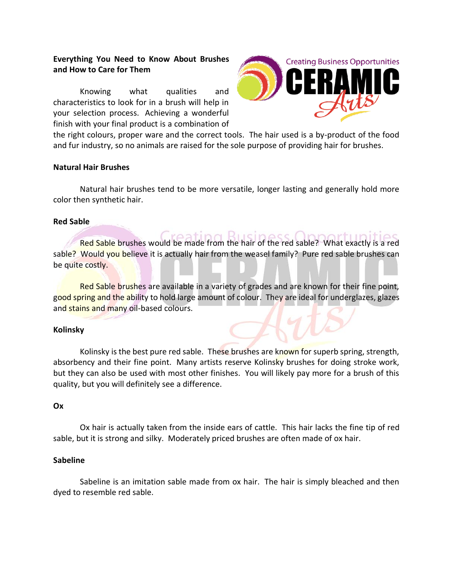# **Everything You Need to Know About Brushes and How to Care for Them**

Knowing what qualities and characteristics to look for in a brush will help in your selection process. Achieving a wonderful finish with your final product is a combination of



the right colours, proper ware and the correct tools. The hair used is a by-product of the food and fur industry, so no animals are raised for the sole purpose of providing hair for brushes.

### **Natural Hair Brushes**

Natural hair brushes tend to be more versatile, longer lasting and generally hold more color then synthetic hair.

## **Red Sable**

Red Sable brushes would be made from the hair of the red sable? What exactly is a red sable? Would you believe it is actually hair from the weasel family? Pure red sable brushes can be quite costly.

Red Sable brushes are available in a variety of grades and are known for their fine point, good spring and the ability to hold large amount of colour. They are ideal for underglazes, glazes and stains and many oil-based colours.

# **Kolinsky**

Kolinsky is the best pure red sable. These brushes are known for superb spring, strength, absorbency and their fine point. Many artists reserve Kolinsky brushes for doing stroke work, but they can also be used with most other finishes. You will likely pay more for a brush of this quality, but you will definitely see a difference.

### **Ox**

Ox hair is actually taken from the inside ears of cattle. This hair lacks the fine tip of red sable, but it is strong and silky. Moderately priced brushes are often made of ox hair.

### **Sabeline**

Sabeline is an imitation sable made from ox hair. The hair is simply bleached and then dyed to resemble red sable.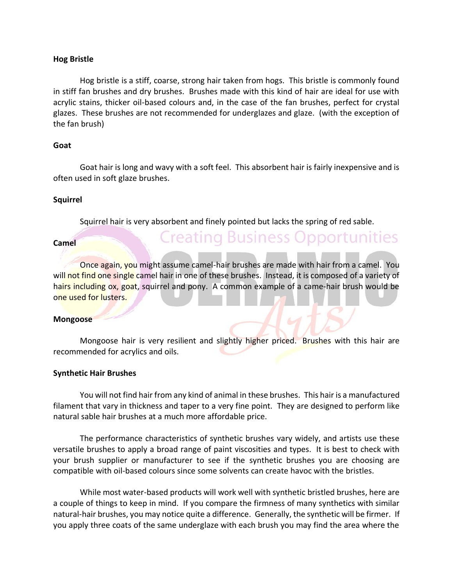### **Hog Bristle**

Hog bristle is a stiff, coarse, strong hair taken from hogs. This bristle is commonly found in stiff fan brushes and dry brushes. Brushes made with this kind of hair are ideal for use with acrylic stains, thicker oil-based colours and, in the case of the fan brushes, perfect for crystal glazes. These brushes are not recommended for underglazes and glaze. (with the exception of the fan brush)

## **Goat**

Goat hair is long and wavy with a soft feel. This absorbent hair is fairly inexpensive and is often used in soft glaze brushes.

# **Squirrel**

Squirrel hair is very absorbent and finely pointed but lacks the spring of red sable.

**Creating Business Opportunities** 

### **Camel**

Once again, you might assume camel-hair brushes are made with hair from a camel. You will not find one single camel hair in one of these brushes. Instead, it is composed of a variety of hairs including ox, goat, squirrel and pony. A common example of a came-hair brush would be one used for lusters.

### **Mongoose**

Mongoose hair is very resilient and slightly higher priced. Brushes with this hair are recommended for acrylics and oils.

### **Synthetic Hair Brushes**

You will not find hair from any kind of animal in these brushes. This hair is a manufactured filament that vary in thickness and taper to a very fine point. They are designed to perform like natural sable hair brushes at a much more affordable price.

The performance characteristics of synthetic brushes vary widely, and artists use these versatile brushes to apply a broad range of paint viscosities and types. It is best to check with your brush supplier or manufacturer to see if the synthetic brushes you are choosing are compatible with oil-based colours since some solvents can create havoc with the bristles.

While most water-based products will work well with synthetic bristled brushes, here are a couple of things to keep in mind. If you compare the firmness of many synthetics with similar natural-hair brushes, you may notice quite a difference. Generally, the synthetic will be firmer. If you apply three coats of the same underglaze with each brush you may find the area where the